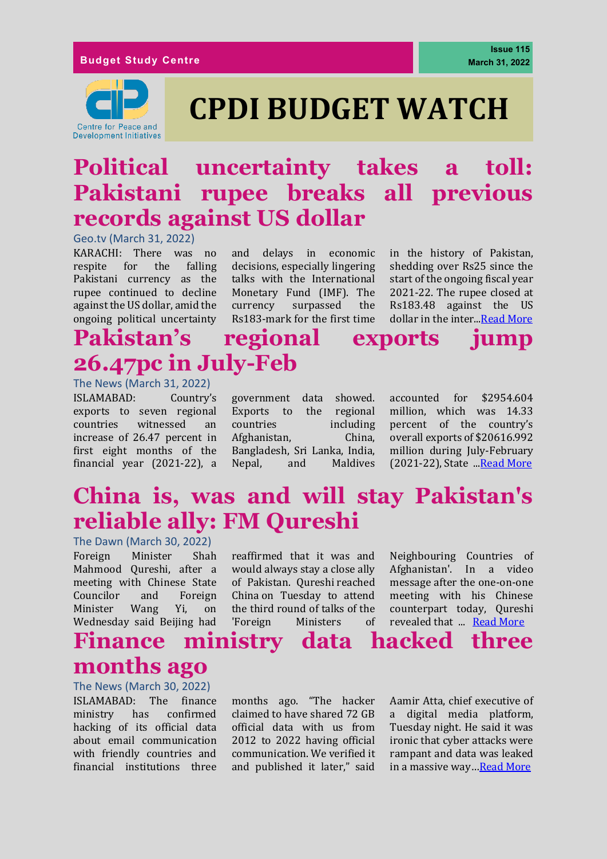#### **Budget Study Centre**



# **CPDI BUDGET WATCH**

# **Political uncertainty takes a toll: Pakistani rupee breaks all previous records against US dollar**

Geo.tv (March 31, 2022)

KARACHI: There was no respite for the falling Pakistani currency as the rupee continued to decline against the US dollar, amid the ongoing political uncertainty and delays in economic decisions, especially lingering talks with the International Monetary Fund (IMF). The currency surpassed the Rs183-mark for the first time

in the history of Pakistan, shedding over Rs25 since the start of the ongoing fiscal year 2021-22. The rupee closed at Rs183.48 against the US dollar in the inter..[.Read More](https://www.geo.tv/latest/408589-rupee-breaks-all-previous-records-against-us-dollar)

# **Pakistan's regional exports jump 26.47pc in July-Feb**

The News (March 31, 2022) ISLAMABAD: Country's exports to seven regional countries witnessed an increase of 26.47 percent in first eight months of the financial year (2021-22), a

government data showed. Exports to the regional countries including Afghanistan, China, Bangladesh, Sri Lanka, India, Nepal, and Maldives

accounted for \$2954.604 million, which was 14.33 percent of the country's overall exports of \$20616.992 million during July-February (2021-22), State .[..Read More](https://www.thenews.com.pk/print/946058-pakistan-s-regional-exports-jump-26-47pc-in-july-feb)

# **China is, was and will stay Pakistan's reliable ally: FM Qureshi**

#### The Dawn (March 30, 2022)

Foreign Minister Shah Mahmood Qureshi, after a meeting with Chinese State Councilor and Foreign Minister Wang Yi, on Wednesday said Beijing had

reaffirmed that it was and would always stay a close ally of Pakistan. Qureshi [reached](https://www.dawn.com/news/1682398/fm-qureshi-leaves-for-china-to-attend-meeting-on-afghanistan)  [China](https://www.dawn.com/news/1682398/fm-qureshi-leaves-for-china-to-attend-meeting-on-afghanistan) on Tuesday to attend the third round of talks of the 'Foreign Ministers of

Neighbouring Countries of Afghanistan'. In a video message after the one-on-one meeting with his Chinese counterpart today, Qureshi revealed that ... [Read More](https://www.dawn.com/news/1682560)

### **Finance ministry data hacked three months ago**

The News (March 30, 2022)

ISLAMABAD: The finance ministry has confirmed hacking of its official data about email communication with friendly countries and financial institutions three

months ago. "The hacker claimed to have shared 72 GB official data with us from 2012 to 2022 having official communication. We verified it and published it later," said

Aamir Atta, chief executive of a digital media platform, Tuesday night. He said it was ironic that cyber attacks were rampant and data was leaked in a massive way…[Read More](https://www.thenews.com.pk/print/945811-finance-ministry-data-hacked-three-months-ago)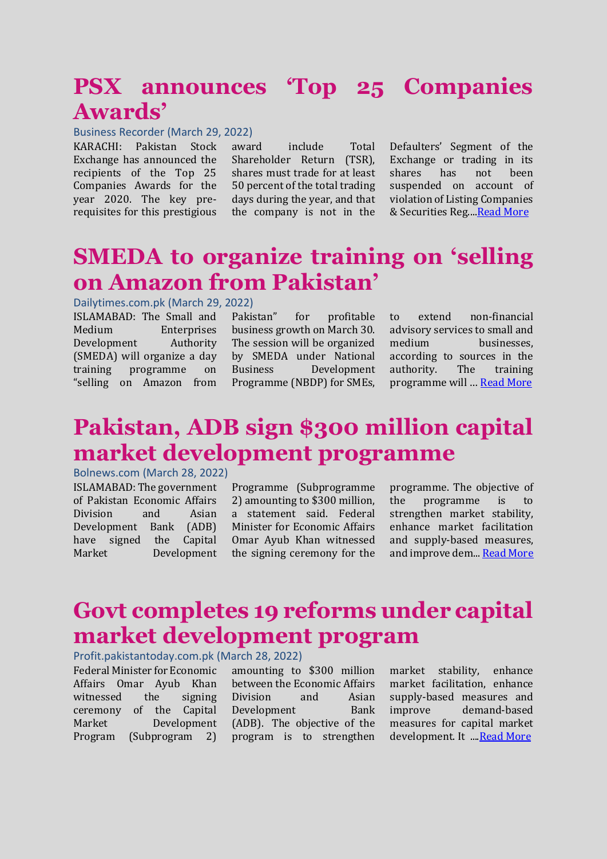# **PSX announces 'Top 25 Companies Awards'**

#### Business Recorder (March 29, 2022)

KARACHI: Pakistan Stock Exchange has announced the recipients of the Top 25 Companies Awards for the year 2020. The key prerequisites for this prestigious

award include Total Shareholder Return (TSR), shares must trade for at least 50 percent of the total trading days during the year, and that the company is not in the

Defaulters' Segment of the Exchange or trading in its shares has not been suspended on account of violation of Listing Companies & Securities Reg...[.Read More](https://www.brecorder.com/news/40163566/psx-announces-top-25-companies-awards)

### **SMEDA to organize training on 'selling on Amazon from Pakistan'**

#### Dailytimes.com.pk (March 29, 2022)

ISLAMABAD: The Small and Medium Enterprises Development Authority (SMEDA) will organize a day training programme on "selling on Amazon from Pakistan" for profitable business growth on March 30. The session will be organized by SMEDA under National Business Development Programme (NBDP) for SMEs,

to extend non-financial advisory services to small and medium businesses, according to sources in the authority. The training programme will … [Read More](https://dailytimes.com.pk/909901/smeda-to-organize-training-on-selling-on-amazon-from-pakistan/)

# **Pakistan, ADB sign \$300 million capital market development programme**

#### Bolnews.com (March 28, 2022)

ISLAMABAD: The government of Pakistan Economic Affairs Division and Asian Development Bank (ADB) have signed the Capital Market Development

Programme (Subprogramme 2) amounting to \$300 million, a statement said. Federal Minister for Economic Affairs Omar Ayub Khan witnessed the signing ceremony for the programme. The objective of the programme is to strengthen market stability, enhance market facilitation and supply-based measures, and improve dem... [Read More](https://www.bolnews.com/business/2022/03/pakistan-adb-sign-300-million-capital-market-development-programme/)

## **Govt completes 19 reforms under capital market development program**

Profit.pakistantoday.com.pk (March 28, 2022)

Federal Minister for Economic Affairs Omar Ayub Khan witnessed the signing ceremony of the Capital Market Development Program (Subprogram 2)

amounting to \$300 million between the Economic Affairs Division and Asian Development Bank (ADB). The objective of the program is to strengthen

market stability, enhance market facilitation, enhance supply-based measures and improve demand-based measures for capital market development. It ..[..Read More](https://profit.pakistantoday.com.pk/2022/03/28/govt-completes-19-reforms-under-capital-market-development-program/)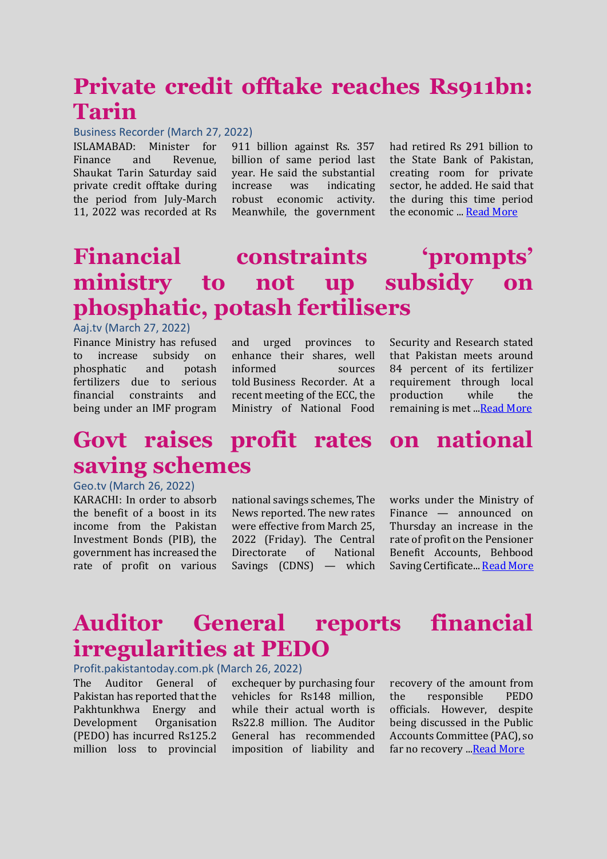# **Private credit offtake reaches Rs911bn: Tarin**

#### Business Recorder (March 27, 2022)

ISLAMABAD: Minister for Finance and Revenue, Shaukat Tarin Saturday said private credit offtake during the period from July-March 11, 2022 was recorded at Rs

911 billion against Rs. 357 billion of same period last year. He said the substantial increase was indicating robust economic activity. Meanwhile, the government

had retired Rs 291 billion to the State Bank of Pakistan, creating room for private sector, he added. He said that the during this time period the economic ... [Read More](https://www.brecorder.com/news/40163270/private-credit-offtake-reaches-rs911bn-tarin)

# **Financial constraints 'prompts' ministry to not up subsidy on phosphatic, potash fertilisers**

#### Aaj.tv (March 27, 2022)

Finance Ministry has refused to increase subsidy on phosphatic and potash fertilizers due to serious financial constraints and being under an IMF program and urged provinces to enhance their shares, well informed sources told Business Recorder. At a recent meeting of the ECC, the Ministry of National Food Security and Research stated that Pakistan meets around 84 percent of its fertilizer requirement through local production while the remaining is met ..[.Read More](https://www.aaj.tv/news/30282335)

# **Govt raises profit rates on national saving schemes**

#### Geo.tv (March 26, 2022)

KARACHI: In order to absorb the benefit of a boost in its income from the Pakistan Investment Bonds (PIB), the government has increased the rate of profit on various national savings schemes, [The](https://www.thenews.com.pk/print/944618-up-to-100bps-nss-rates-jump-on-rising-pibs-yields)  [News](https://www.thenews.com.pk/print/944618-up-to-100bps-nss-rates-jump-on-rising-pibs-yields) reported. The new rates were effective from March 25, 2022 (Friday). The Central Directorate of National Savings (CDNS) — which works under the Ministry of Finance — announced on Thursday an increase in the rate of profit on the Pensioner Benefit Accounts, Behbood Saving Certificate... [Read More](https://www.geo.tv/latest/407464-govt-raises-profit-rates-on-national-saving-schemes)

## **Auditor General reports financial irregularities at PEDO**

Profit.pakistantoday.com.pk (March 26, 2022)

The Auditor General of Pakistan has reported that the Pakhtunkhwa Energy and Development Organisation (PEDO) has incurred Rs125.2 million loss to provincial

exchequer by purchasing four vehicles for Rs148 million, while their actual worth is Rs22.8 million. The Auditor General has recommended imposition of liability and recovery of the amount from the responsible PEDO officials. However, despite being discussed in the Public Accounts Committee (PAC), so far no recovery ... Read More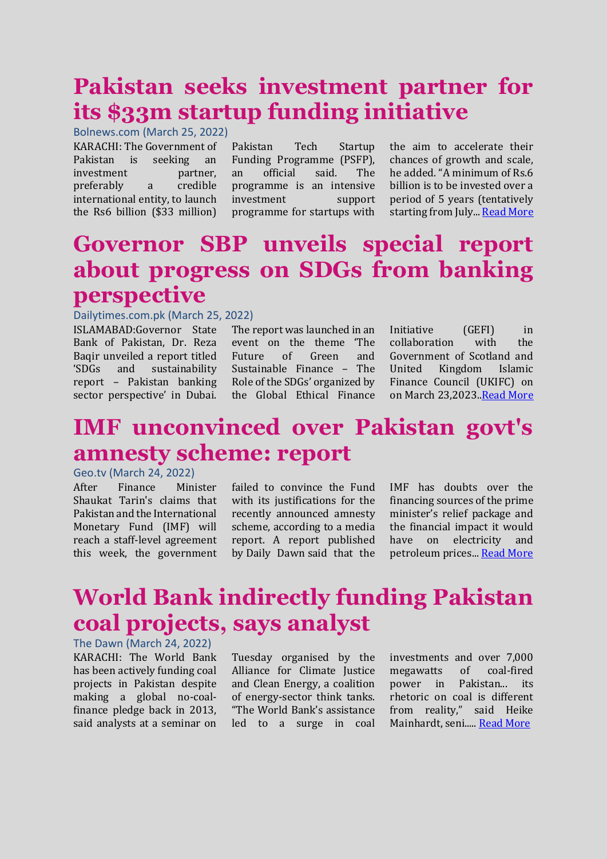# **Pakistan seeks investment partner for its \$33m startup funding initiative**

Bolnews.com (March 25, 2022)

KARACHI: The Government of Pakistan is seeking an investment partner, preferably a credible international entity, to launch the Rs6 billion (\$33 million)

Pakistan Tech Startup Funding Programme (PSFP), an official said. The programme is an intensive investment support programme for startups with the aim to accelerate their chances of growth and scale, he added. "A minimum of Rs.6 billion is to be invested over a period of 5 years (tentatively starting from July... [Read More](https://www.bolnews.com/business/2022/03/pakistan-seeks-investment-partner-for-its-33m-startup-funding-initiative/)

# **Governor SBP unveils special report about progress on SDGs from banking perspective**

#### Dailytimes.com.pk (March 25, 2022)

ISLAMABAD:Governor State Bank of Pakistan, Dr. Reza Baqir unveiled a report titled 'SDGs and sustainability report – Pakistan banking sector perspective' in Dubai.

The report was launched in an event on the theme 'The Future of Green and Sustainable Finance – The Role of the SDGs' organized by the Global Ethical Finance

Initiative (GEFI) in collaboration with the Government of Scotland and United Kingdom Islamic Finance Council (UKIFC) on on March 23,2023[..Read More](https://dailytimes.com.pk/907511/governor-sbp-unveils-special-report-about-progress-on-sdgs-from-banking-perspective/)

### **IMF unconvinced over Pakistan govt's amnesty scheme: report**

#### Geo.tv (March 24, 2022)

After Finance Minister Shaukat Tarin's claims that Pakistan and the International Monetary Fund (IMF) will reach a staff-level agreement this week, the government

failed to convince the Fund with its justifications for the recently announced amnesty scheme, according to a media report. A report published by [Daily Dawn](https://www.dawn.com/news/1681513/govt-fails-to-convince-imf-over-amnesty-scheme) said that the IMF has doubts over the financing sources of the prime minister's relief package and the financial impact it would have on electricity and petroleum prices... [Read More](https://www.geo.tv/latest/407062-imf-unconvinced-over-pakistan-govts-amnesty-scheme-report)

# **World Bank indirectly funding Pakistan coal projects, says analyst**

#### The Dawn (March 24, 2022)

KARACHI: The World Bank has been actively funding coal projects in Pakistan despite making a global no-coalfinance pledge back in 2013, said analysts at a seminar on

Tuesday organised by the Alliance for Climate Justice and Clean Energy, a coalition of energy-sector think tanks. "The World Bank's assistance led to a surge in coal investments and over 7,000 megawatts of coal-fired power in Pakistan... its rhetoric on coal is different from reality," said Heike Mainhardt, seni....[. Read More](https://www.dawn.com/news/1681379)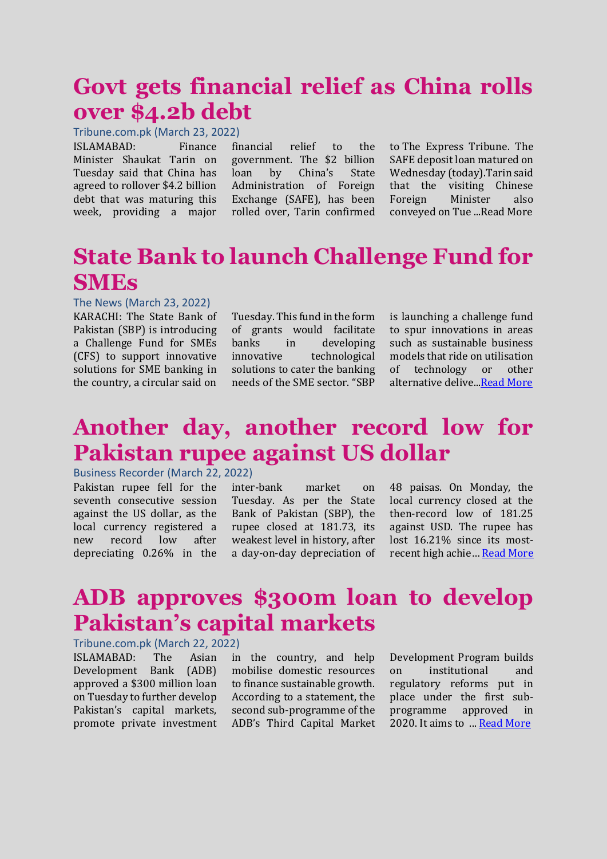### **Govt gets financial relief as China rolls over \$4.2b debt**

Tribune.com.pk (March 23, 2022)

ISLAMABAD: Finance Minister Shaukat Tarin on Tuesday said that China has agreed to rollover \$4.2 billion debt that was maturing this week, providing a major

financial relief to the government. The \$2 billion loan by China's State Administration of Foreign Exchange (SAFE), has been rolled over, Tarin confirmed

to The Express Tribune. The SAFE deposit loan matured on Wednesday (today).Tarin said that the visiting Chinese Foreign Minister also conveyed on Tue ...Read More

## **State Bank to launch Challenge Fund for SMEs**

#### The News (March 23, 2022)

KARACHI: The State Bank of Pakistan (SBP) is introducing a Challenge Fund for SMEs (CFS) to support innovative solutions for SME banking in the country, a circular said on Tuesday. This fund in the form of grants would facilitate banks in developing innovative technological solutions to cater the banking needs of the SME sector. "SBP is launching a challenge fund to spur innovations in areas such as sustainable business models that ride on utilisation of technology or other alternative delive.[..Read More](https://www.thenews.com.pk/print/943738-state-bank-to-launch-challenge-fund-for-smes)

### **Another day, another record low for Pakistan rupee against US dollar**

#### Business Recorder (March 22, 2022)

Pakistan rupee fell for the seventh consecutive session against the US dollar, as the local currency registered a new record low after depreciating 0.26% in the

inter-bank market on Tuesday. As per the State Bank of Pakistan (SBP), the rupee closed at 181.73, its weakest level in history, after a day-on-day depreciation of 48 paisas. On Monday, the local currency closed at the then-record low of 181.25 against USD. The rupee has lost 16.21% since its mostrecent high achie… [Read More](https://www.brecorder.com/news/40162381)

# **ADB approves \$300m loan to develop Pakistan's capital markets**

#### Tribune.com.pk (March 22, 2022)

ISLAMABAD: The Asian Development Bank (ADB) approved a \$300 million loan on Tuesday to further develop Pakistan's capital markets, promote private investment in the country, and help mobilise domestic resources to finance sustainable growth. According to a statement, the second sub-programme of the ADB's Third Capital Market Development Program builds on institutional and regulatory reforms put in place under the first subprogramme approved in 2020. It aims to ... [Read More](https://tribune.com.pk/story/2349110/adb-approves-300m-loan-to-develop-pakistans-capital-markets)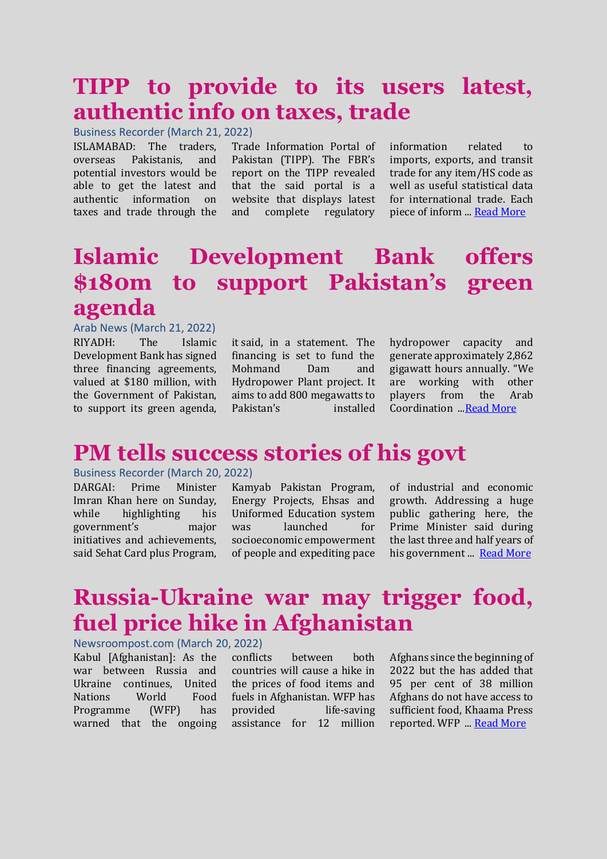# **TIPP to provide to its users latest, authentic info on taxes, trade**

Business Recorder (March 21, 2022)

ISLAMABAD: The traders, overseas Pakistanis, and potential investors would be able to get the latest and authentic information on taxes and trade through the

Trade Information Portal of Pakistan (TIPP). The FBR's report on the TIPP revealed that the said portal is a website that displays latest and complete regulatory

information related to imports, exports, and transit trade for any item/HS code as well as useful statistical data for international trade. Each piece of inform ... [Read More](https://www.brecorder.com/news/40162227/tipp-to-provide-to-its-users-latest-authentic-info-on-taxes-trade)

### **Islamic Development Bank offers \$180m to support Pakistan's green agenda**

#### Arab News (March 21, 2022)

RIYADH: The Islamic Development Bank has signed three financing agreements, valued at \$180 million, with the Government of Pakistan, to support its green agenda,

it said, in a statement. The financing is set to fund the Mohmand Dam and Hydropower Plant project. It aims to add 800 megawatts to Pakistan's installed

hydropower capacity and generate approximately 2,862 gigawatt hours annually. "We are working with other players from the Arab Coordination .[..Read More](https://www.arabnews.com/node/2046971/business-economy)

# **PM tells success stories of his govt**

#### Business Recorder (March 20, 2022)

DARGAI: Prime Minister Imran Khan here on Sunday, while highlighting his government's major initiatives and achievements, said Sehat Card plus Program,

Kamyab Pakistan Program, Energy Projects, Ehsas and Uniformed Education system was launched for socioeconomic empowerment of people and expediting pace of industrial and economic growth. Addressing a huge public gathering here, the Prime Minister said during the last three and half years of his government ... [Read More](brecorder.com/news/40162039)

# **Russia-Ukraine war may trigger food, fuel price hike in Afghanistan**

#### Newsroompost.com (March 20, 2022)

Kabul [Afghanistan]: As the war between Russia and Ukraine continues, United Nations World Food Programme (WFP) has warned that the ongoing conflicts between both countries will cause a hike in the prices of food items and fuels in Afghanistan. WFP has provided life-saving assistance for 12 million

Afghans since the beginning of 2022 but the has added that 95 per cent of 38 million Afghans do not have access to sufficient food, Khaama Press reported. WFP ... [Read More](https://newsroompost.com/business/russia-ukraine-war-may-trigger-food-fuel-price-hike-in-afghanistan/5074326.html)